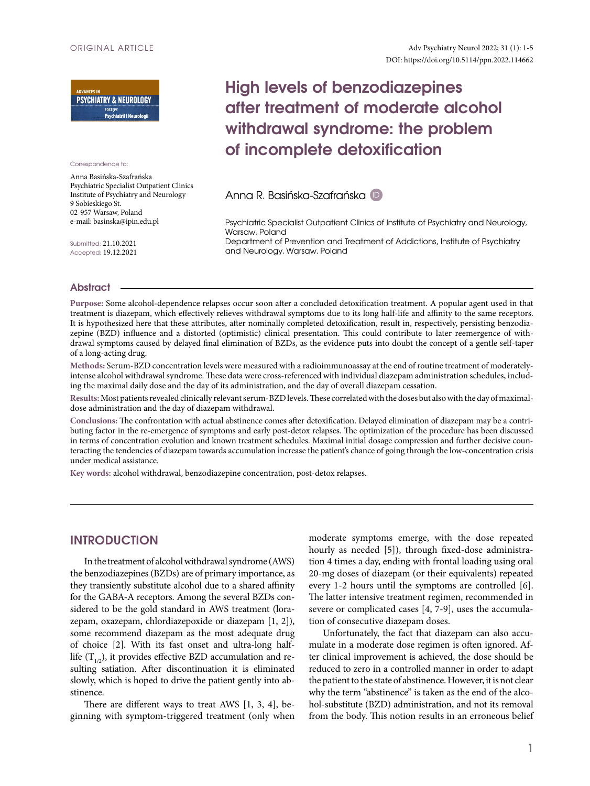

Correspondence to:

Anna Basińska-Szafrańska Psychiatric Specialist Outpatient Clinics Institute of Psychiatry and Neurology 9 Sobieskiego St. 02-957 Warsaw, Poland e-mail: basinska@ipin.edu.pl

Submitted: 21.10.2021 Accepted: 19.12.2021

# **High levels of benzodiazepines after treatment of moderate alcohol withdrawal syndrome: the problem of incomplete detoxification**

Anna R. Basińska-Szafrańska [ID](https://orcid.org/0000-0003-0664-1901)

Psychiatric Specialist Outpatient Clinics of Institute of Psychiatry and Neurology, Warsaw, Poland Department of Prevention and Treatment of Addictions, Institute of Psychiatry and Neurology, Warsaw, Poland

### **Abstract**

**Purpose:** Some alcohol-dependence relapses occur soon after a concluded detoxification treatment. A popular agent used in that treatment is diazepam, which effectively relieves withdrawal symptoms due to its long half-life and affinity to the same receptors. It is hypothesized here that these attributes, after nominally completed detoxification, result in, respectively, persisting benzodiazepine (BZD) influence and a distorted (optimistic) clinical presentation. This could contribute to later reemergence of withdrawal symptoms caused by delayed final elimination of BZDs, as the evidence puts into doubt the concept of a gentle self-taper of a long-acting drug.

**Methods:** Serum-BZD concentration levels were measured with a radioimmunoassay at the end of routine treatment of moderatelyintense alcohol withdrawal syndrome. These data were cross-referenced with individual diazepam administration schedules, including the maximal daily dose and the day of its administration, and the day of overall diazepam cessation.

**Results:** Most patients revealed clinically relevant serum-BZD levels. These correlated with the doses but also with the day of maximaldose administration and the day of diazepam withdrawal.

**Conclusions:** The confrontation with actual abstinence comes after detoxification. Delayed elimination of diazepam may be a contributing factor in the re-emergence of symptoms and early post-detox relapses. The optimization of the procedure has been discussed in terms of concentration evolution and known treatment schedules. Maximal initial dosage compression and further decisive counteracting the tendencies of diazepam towards accumulation increase the patient's chance of going through the low-concentration crisis under medical assistance.

**Key words:** alcohol withdrawal, benzodiazepine concentration, post-detox relapses.

# **INTRODUCTION**

In the treatment of alcohol withdrawal syndrome (AWS) the benzodiazepines (BZDs) are of primary importance, as they transiently substitute alcohol due to a shared affinity for the GABA-A receptors. Among the several BZDs considered to be the gold standard in AWS treatment (lorazepam, oxazepam, chlordiazepoxide or diazepam [1, 2]), some recommend diazepam as the most adequate drug of choice [2]. With its fast onset and ultra-long halflife  $(T_{1/2})$ , it provides effective BZD accumulation and resulting satiation. After discontinuation it is eliminated slowly, which is hoped to drive the patient gently into abstinence.

There are different ways to treat AWS [1, 3, 4], beginning with symptom-triggered treatment (only when moderate symptoms emerge, with the dose repeated hourly as needed [5]), through fixed-dose administration 4 times a day, ending with frontal loading using oral 20-mg doses of diazepam (or their equivalents) repeated every 1-2 hours until the symptoms are controlled [6]. The latter intensive treatment regimen, recommended in severe or complicated cases [4, 7-9], uses the accumulation of consecutive diazepam doses.

Unfortunately, the fact that diazepam can also accumulate in a moderate dose regimen is often ignored. After clinical improvement is achieved, the dose should be reduced to zero in a controlled manner in order to adapt the patient to the state of abstinence. However, it is not clear why the term "abstinence" is taken as the end of the alcohol-substitute (BZD) administration, and not its removal from the body. This notion results in an erroneous belief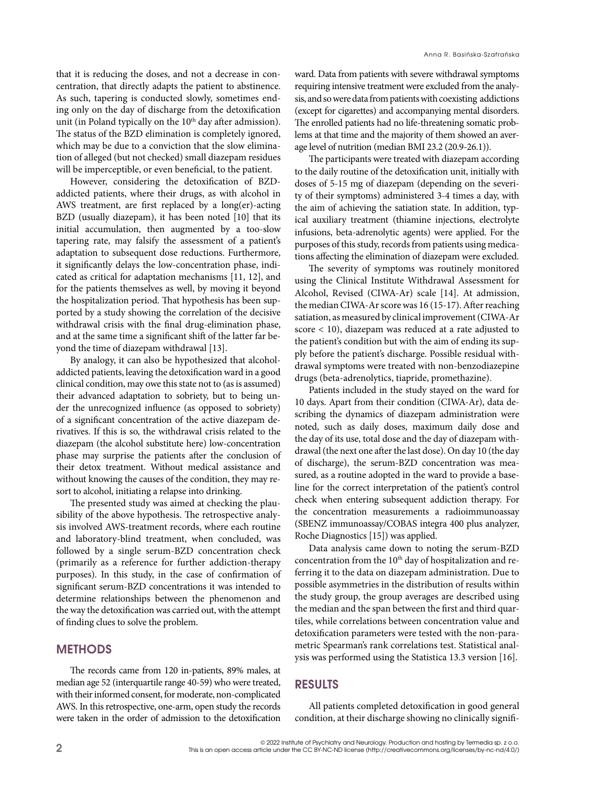that it is reducing the doses, and not a decrease in concentration, that directly adapts the patient to abstinence. As such, tapering is conducted slowly, sometimes ending only on the day of discharge from the detoxification unit (in Poland typically on the 10<sup>th</sup> day after admission). The status of the BZD elimination is completely ignored, which may be due to a conviction that the slow elimination of alleged (but not checked) small diazepam residues will be imperceptible, or even beneficial, to the patient.

However, considering the detoxification of BZDaddicted patients, where their drugs, as with alcohol in AWS treatment, are first replaced by a long(er)-acting BZD (usually diazepam), it has been noted [10] that its initial accumulation, then augmented by a too-slow tapering rate, may falsify the assessment of a patient's adaptation to subsequent dose reductions. Furthermore, it significantly delays the low-concentration phase, indicated as critical for adaptation mechanisms [11, 12], and for the patients themselves as well, by moving it beyond the hospitalization period. That hypothesis has been supported by a study showing the correlation of the decisive withdrawal crisis with the final drug-elimination phase, and at the same time a significant shift of the latter far beyond the time of diazepam withdrawal [13].

By analogy, it can also be hypothesized that alcoholaddicted patients, leaving the detoxification ward in a good clinical condition, may owe this state not to (as is assumed) their advanced adaptation to sobriety, but to being under the unrecognized influence (as opposed to sobriety) of a significant concentration of the active diazepam derivatives. If this is so, the withdrawal crisis related to the diazepam (the alcohol substitute here) low-concentration phase may surprise the patients after the conclusion of their detox treatment. Without medical assistance and without knowing the causes of the condition, they may resort to alcohol, initiating a relapse into drinking.

The presented study was aimed at checking the plausibility of the above hypothesis. The retrospective analysis involved AWS-treatment records, where each routine and laboratory-blind treatment, when concluded, was followed by a single serum-BZD concentration check (primarily as a reference for further addiction-therapy purposes). In this study, in the case of confirmation of significant serum-BZD concentrations it was intended to determine relationships between the phenomenon and the way the detoxification was carried out, with the attempt of finding clues to solve the problem.

## **Methods**

The records came from 120 in-patients, 89% males, at median age 52 (interquartile range 40-59) who were treated, with their informed consent, for moderate, non-complicated AWS. In this retrospective, one-arm, open study the records were taken in the order of admission to the detoxification

ward. Data from patients with severe withdrawal symptoms requiring intensive treatment were excluded from the analysis, and so were data from patients with coexisting addictions (except for cigarettes) and accompanying mental disorders. The enrolled patients had no life-threatening somatic problems at that time and the majority of them showed an average level of nutrition (median BMI 23.2 (20.9-26.1)).

The participants were treated with diazepam according to the daily routine of the detoxification unit, initially with doses of 5-15 mg of diazepam (depending on the severity of their symptoms) administered 3-4 times a day, with the aim of achieving the satiation state. In addition, typical auxiliary treatment (thiamine injections, electrolyte infusions, beta-adrenolytic agents) were applied. For the purposes of this study, records from patients using medications affecting the elimination of diazepam were excluded.

The severity of symptoms was routinely monitored using the Clinical Institute Withdrawal Assessment for Alcohol, Revised (CIWA-Ar) scale [14]. At admission, the median CIWA-Ar score was 16 (15-17). After reaching satiation, as measured by clinical improvement (CIWA-Ar score < 10), diazepam was reduced at a rate adjusted to the patient's condition but with the aim of ending its supply before the patient's discharge. Possible residual withdrawal symptoms were treated with non-benzodiazepine drugs (beta-adrenolytics, tiapride, promethazine).

Patients included in the study stayed on the ward for 10 days. Apart from their condition (CIWA-Ar), data describing the dynamics of diazepam administration were noted, such as daily doses, maximum daily dose and the day of its use, total dose and the day of diazepam withdrawal (the next one after the last dose). On day 10 (the day of discharge), the serum-BZD concentration was measured, as a routine adopted in the ward to provide a baseline for the correct interpretation of the patient's control check when entering subsequent addiction therapy. For the concentration measurements a radioimmunoassay (SBENZ immunoassay/COBAS integra 400 plus analyzer, Roche Diagnostics [15]) was applied.

Data analysis came down to noting the serum-BZD concentration from the 10<sup>th</sup> day of hospitalization and referring it to the data on diazepam administration. Due to possible asymmetries in the distribution of results within the study group, the group averages are described using the median and the span between the first and third quartiles, while correlations between concentration value and detoxification parameters were tested with the non-parametric Spearman's rank correlations test. Statistical analysis was performed using the Statistica 13.3 version [16].

## **Results**

All patients completed detoxification in good general condition, at their discharge showing no clinically signifi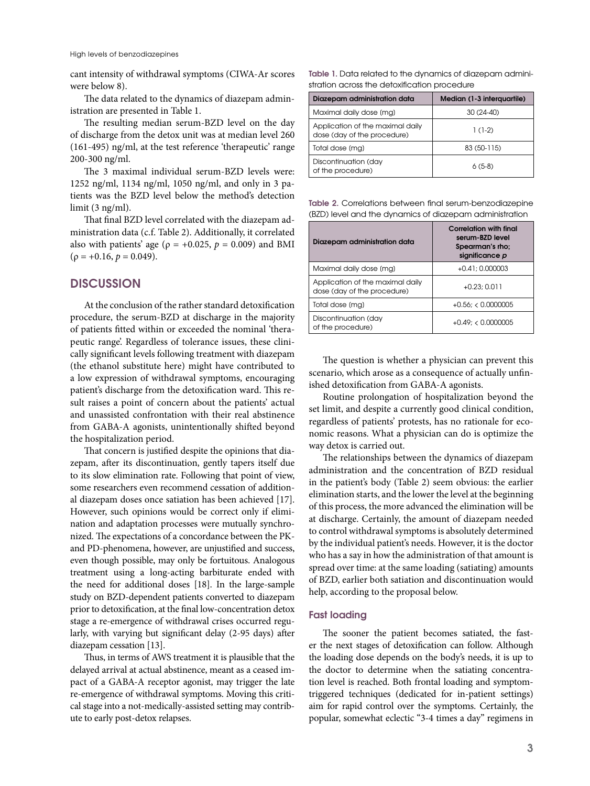cant intensity of withdrawal symptoms (CIWA-Ar scores were below 8).

The data related to the dynamics of diazepam administration are presented in Table 1.

The resulting median serum-BZD level on the day of discharge from the detox unit was at median level 260 (161-495) ng/ml, at the test reference 'therapeutic' range 200-300 ng/ml.

The 3 maximal individual serum-BZD levels were: 1252 ng/ml, 1134 ng/ml, 1050 ng/ml, and only in 3 patients was the BZD level below the method's detection limit (3 ng/ml).

That final BZD level correlated with the diazepam administration data (c.f. Table 2). Additionally, it correlated also with patients' age ( $\rho = +0.025$ ,  $p = 0.009$ ) and BMI  $(\rho = +0.16, p = 0.049).$ 

# **Discussion**

At the conclusion of the rather standard detoxification procedure, the serum-BZD at discharge in the majority of patients fitted within or exceeded the nominal 'therapeutic range'. Regardless of tolerance issues, these clinically significant levels following treatment with diazepam (the ethanol substitute here) might have contributed to a low expression of withdrawal symptoms, encouraging patient's discharge from the detoxification ward. This result raises a point of concern about the patients' actual and unassisted confrontation with their real abstinence from GABA-A agonists, unintentionally shifted beyond the hospitalization period.

That concern is justified despite the opinions that diazepam, after its discontinuation, gently tapers itself due to its slow elimination rate. Following that point of view, some researchers even recommend cessation of additional diazepam doses once satiation has been achieved [17]. However, such opinions would be correct only if elimination and adaptation processes were mutually synchronized. The expectations of a concordance between the PKand PD-phenomena, however, are unjustified and success, even though possible, may only be fortuitous. Analogous treatment using a long-acting barbiturate ended with the need for additional doses [18]. In the large-sample study on BZD-dependent patients converted to diazepam prior to detoxification, at the final low-concentration detox stage a re-emergence of withdrawal crises occurred regularly, with varying but significant delay (2-95 days) after diazepam cessation [13].

Thus, in terms of AWS treatment it is plausible that the delayed arrival at actual abstinence, meant as a ceased impact of a GABA-A receptor agonist, may trigger the late re-emergence of withdrawal symptoms. Moving this critical stage into a not-medically-assisted setting may contribute to early post-detox relapses.

**Table 1.** Data related to the dynamics of diazepam administration across the detoxification procedure

| Diazepam administration data                                    | Median (1-3 interquartile) |
|-----------------------------------------------------------------|----------------------------|
| Maximal daily dose (mg)                                         | $30(24-40)$                |
| Application of the maximal daily<br>dose (day of the procedure) | $1(1-2)$                   |
| Total dose (mg)                                                 | 83 (50-115)                |
| Discontinuation (day<br>of the procedure)                       | $6(5-8)$                   |

**Table 2.** Correlations between final serum-benzodiazepine (BZD) level and the dynamics of diazepam administration

| Diazepam administration data                                    | <b>Correlation with final</b><br>serum-BZD level<br>Spearman's rho:<br>significance p |
|-----------------------------------------------------------------|---------------------------------------------------------------------------------------|
| Maximal daily dose (mg)                                         | $+0.41:0.000003$                                                                      |
| Application of the maximal daily<br>dose (day of the procedure) | $+0.23; 0.011$                                                                        |
| Total dose (mg)                                                 | $+0.56$ ; < 0.0000005                                                                 |
| Discontinuation (day<br>of the procedure)                       | $+0.49$ : < 0.0000005                                                                 |

The question is whether a physician can prevent this scenario, which arose as a consequence of actually unfinished detoxification from GABA-A agonists.

Routine prolongation of hospitalization beyond the set limit, and despite a currently good clinical condition, regardless of patients' protests, has no rationale for economic reasons. What a physician can do is optimize the way detox is carried out.

The relationships between the dynamics of diazepam administration and the concentration of BZD residual in the patient's body (Table 2) seem obvious: the earlier elimination starts, and the lower the level at the beginning of this process, the more advanced the elimination will be at discharge. Certainly, the amount of diazepam needed to control withdrawal symptoms is absolutely determined by the individual patient's needs. However, it is the doctor who has a say in how the administration of that amount is spread over time: at the same loading (satiating) amounts of BZD, earlier both satiation and discontinuation would help, according to the proposal below.

## **Fast loading**

The sooner the patient becomes satiated, the faster the next stages of detoxification can follow. Although the loading dose depends on the body's needs, it is up to the doctor to determine when the satiating concentration level is reached. Both frontal loading and symptomtriggered techniques (dedicated for in-patient settings) aim for rapid control over the symptoms. Certainly, the popular, somewhat eclectic "3-4 times a day" regimens in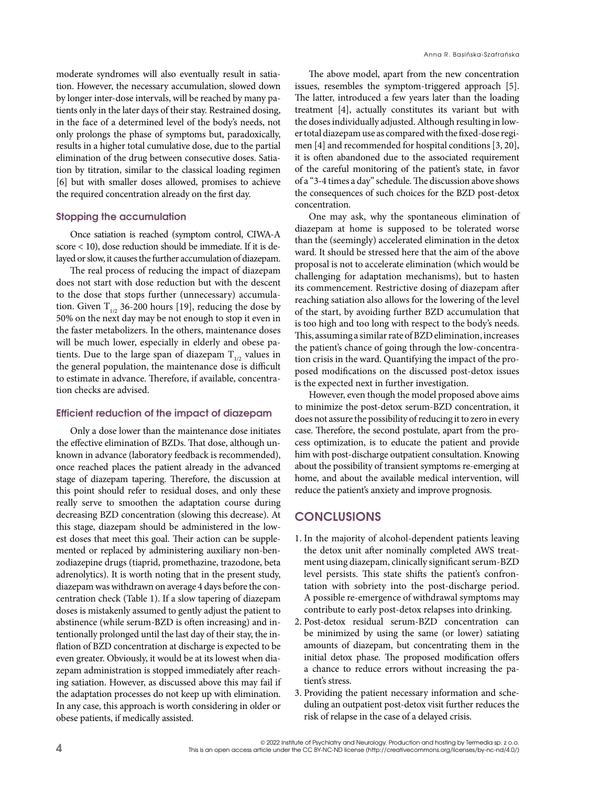moderate syndromes will also eventually result in satiation. However, the necessary accumulation, slowed down by longer inter-dose intervals, will be reached by many patients only in the later days of their stay. Restrained dosing, in the face of a determined level of the body's needs, not only prolongs the phase of symptoms but, paradoxically, results in a higher total cumulative dose, due to the partial elimination of the drug between consecutive doses. Satiation by titration, similar to the classical loading regimen [6] but with smaller doses allowed, promises to achieve the required concentration already on the first day.

## **Stopping the accumulation**

Once satiation is reached (symptom control, CIWA-A score < 10), dose reduction should be immediate. If it is delayed or slow, it causes the further accumulation of diazepam.

The real process of reducing the impact of diazepam does not start with dose reduction but with the descent to the dose that stops further (unnecessary) accumulation. Given  $T_{1/2}$  36-200 hours [19], reducing the dose by 50% on the next day may be not enough to stop it even in the faster metabolizers. In the others, maintenance doses will be much lower, especially in elderly and obese patients. Due to the large span of diazepam  $T_{1/2}$  values in the general population, the maintenance dose is difficult to estimate in advance. Therefore, if available, concentration checks are advised.

## **Efficient reduction of the impact of diazepam**

Only a dose lower than the maintenance dose initiates the effective elimination of BZDs. That dose, although unknown in advance (laboratory feedback is recommended), once reached places the patient already in the advanced stage of diazepam tapering. Therefore, the discussion at this point should refer to residual doses, and only these really serve to smoothen the adaptation course during decreasing BZD concentration (slowing this decrease). At this stage, diazepam should be administered in the lowest doses that meet this goal. Their action can be supplemented or replaced by administering auxiliary non-benzodiazepine drugs (tiaprid, promethazine, trazodone, beta adrenolytics). It is worth noting that in the present study, diazepam was withdrawn on average 4 days before the concentration check (Table 1). If a slow tapering of diazepam doses is mistakenly assumed to gently adjust the patient to abstinence (while serum-BZD is often increasing) and intentionally prolonged until the last day of their stay, the inflation of BZD concentration at discharge is expected to be even greater. Obviously, it would be at its lowest when diazepam administration is stopped immediately after reaching satiation. However, as discussed above this may fail if the adaptation processes do not keep up with elimination. In any case, this approach is worth considering in older or obese patients, if medically assisted.

The above model, apart from the new concentration issues, resembles the symptom-triggered approach [5]. The latter, introduced a few years later than the loading treatment [4], actually constitutes its variant but with the doses individually adjusted. Although resulting in lower total diazepam use as compared with the fixed-dose regimen [4] and recommended for hospital conditions [3, 20], it is often abandoned due to the associated requirement of the careful monitoring of the patient's state, in favor of a "3-4 times a day" schedule. The discussion above shows the consequences of such choices for the BZD post-detox concentration.

One may ask, why the spontaneous elimination of diazepam at home is supposed to be tolerated worse than the (seemingly) accelerated elimination in the detox ward. It should be stressed here that the aim of the above proposal is not to accelerate elimination (which would be challenging for adaptation mechanisms), but to hasten its commencement. Restrictive dosing of diazepam after reaching satiation also allows for the lowering of the level of the start, by avoiding further BZD accumulation that is too high and too long with respect to the body's needs. This, assuming a similar rate of BZD elimination, increases the patient's chance of going through the low-concentration crisis in the ward. Quantifying the impact of the proposed modifications on the discussed post-detox issues is the expected next in further investigation.

However, even though the model proposed above aims to minimize the post-detox serum-BZD concentration, it does not assure the possibility of reducing it to zero in every case. Therefore, the second postulate, apart from the process optimization, is to educate the patient and provide him with post-discharge outpatient consultation. Knowing about the possibility of transient symptoms re-emerging at home, and about the available medical intervention, will reduce the patient's anxiety and improve prognosis.

## **Conclusions**

- 1. In the majority of alcohol-dependent patients leaving the detox unit after nominally completed AWS treatment using diazepam, clinically significant serum-BZD level persists. This state shifts the patient's confrontation with sobriety into the post-discharge period. A possible re-emergence of withdrawal symptoms may contribute to early post-detox relapses into drinking.
- 2. Post-detox residual serum-BZD concentration can be minimized by using the same (or lower) satiating amounts of diazepam, but concentrating them in the initial detox phase. The proposed modification offers a chance to reduce errors without increasing the patient's stress.
- 3. Providing the patient necessary information and scheduling an outpatient post-detox visit further reduces the risk of relapse in the case of a delayed crisis.